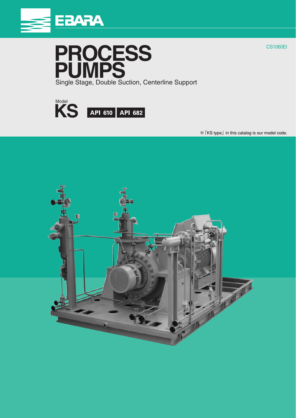





※「KS type」 in this catalog is our model code.



CS1060EI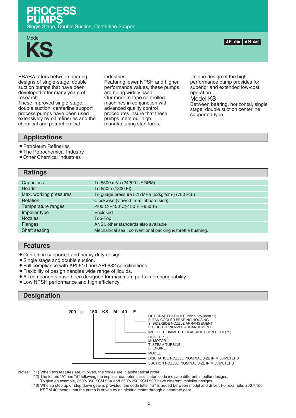



EBARA offers between bearing designs of single-stage, double suction pumps that have been developed after many years of research.

These improved single-stage, double suction, centerline support process pumps have been used extensively by oil refineries and the chemical and petrochemical

industries.

Featuring lower NPSH and higher performance values, these pumps are being widely used. Our modern tape controlled machines in conjunction with advanced quality control procedures insure that these pumps meet our high manufacturing standards.

Unique design of the high performance pump provides for superior and extended low-cost operation. Model KS Between bearing, horizontal, single stage, double suction centerline supported type.

# **Applications**

- Petroleum Refineries
- The Petrochemical Industry
- Other Chemical Industries

#### **Ratings Capacities Heads** Max. working pressures Rotation Temperature ranges Impeller type Nozzles Flanges Shaft sealing To 5500 m3 /h (24200 USGPM) To 550m (1800 Ft) To guage pressure 5.17MPa {52kgf/cm2 } (750 PSI) Clockwise (viewed from inboard side) -100˚C~450˚C(-150˚F~850˚F) Enclosed Top-Top ANSI, other standards also available Mechanical seal, conventional packing & throttle bushing.

## **Features**

- Centerline supported and heavy duty design.
- Single stage and double suction.
- sFull compliance with API 610 and API 682 specifications.
- sFlexibility of design handles wide range of liquids.
- All components have been designed for maximum parts interchangeability.
- Low NPSH performance and high efficiency.

# **Designation**



Notes: (\*1) When two features are involved, the codes are in alphabetical order.

- ( \*2) The letters "A" and "B" following the impeller diameter classificaton code indicate different impeller designs.
- To give an example, 350×350 KSM 50A and 350×250 KSM 50B have different impleller designs. ( \*3) When a step up or step down gear is provided, the code letter "G" is added between model and driver. For example, 200×150 KSGM 40 means that the pump is driven by an electric motor through a separate gear.

API 610 API 682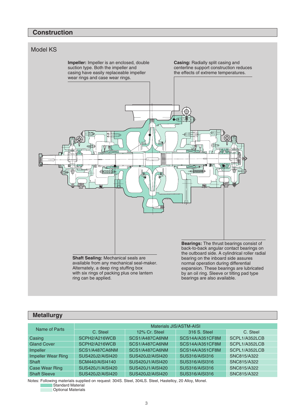# **Construction**



available from any mechanical seal-maker. Alternately, a deep ring stuffing box with six rings of packing plus one lantern ring can be applied.

back-to-back angular contact bearings on the outboard side. A cylindrical roller radial normal operation during differential expansion. These bearings are lubricated by an oil ring. Sleeve or tilting pad type bearings are also available.

# **Metallurgy**

| Name of Parts             | Materials JIS/ASTM-AISI |                  |                 |               |  |  |  |  |  |  |  |  |  |
|---------------------------|-------------------------|------------------|-----------------|---------------|--|--|--|--|--|--|--|--|--|
|                           | C. Steel                | 12% Cr. Steel    | 316 S. Steel    | C. Steel      |  |  |  |  |  |  |  |  |  |
| Casing                    | SCPH2/A216WCB           | SCS1/A487CA6NM   | SCS14A/A351CF8M | SCPL1/A352LCB |  |  |  |  |  |  |  |  |  |
| <b>Gland Cover</b>        | SCPH2/A216WCB           | SCS1/A487CA6NM   | SCS14A/A351CF8M | SCPL1/A352LCB |  |  |  |  |  |  |  |  |  |
| Impeller                  | SCS1/A487CA6NM          | SCS1/A487CA6NM   | SCS14A/A351CF8M | SCPL1/A352LCB |  |  |  |  |  |  |  |  |  |
| <b>Impeller Wear Ring</b> | SUS420J2/AISI420        | SUS420J2/AISI420 | SUS316/AISI316  | SNC815/A322   |  |  |  |  |  |  |  |  |  |
| Shaft                     | SCM440/AISI4140         | SUS420J1/AISI420 | SUS316/AISI316  | SNC815/A322   |  |  |  |  |  |  |  |  |  |
| <b>Case Wear Ring</b>     | SUS420J1/AISI420        | SUS420J1/AISI420 | SUS316/AISI316  | SNC815/A322   |  |  |  |  |  |  |  |  |  |
| <b>Shaft Sleeve</b>       | SUS420J2/AISI420        | SUS420J2/AISI420 | SUS316/AISI316  | SNC815/A322   |  |  |  |  |  |  |  |  |  |

Notes: Following materials supplied on request: 304S. Steel, 304LS. Steel, Hastelloy, 20 Alloy, Monel. Standard Material

Optional Materials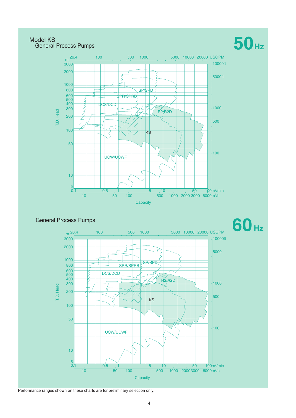# Model KS General Process Pumps

# **50Hz**



# General Process Pumps



## Performance ranges shown on these charts are for preliminary selection only.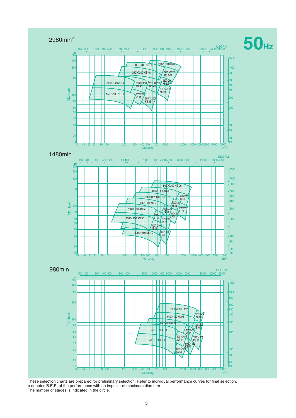

These selection charts are prepared for preliminary selection. Refer to individual performance curves for final selection. o denotes B.E.P. of the performance with an impeller of maximum diameter. The number of stages is indicated in the circle.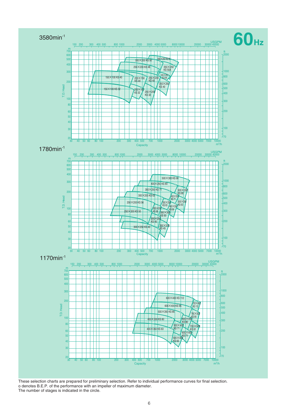

These selection charts are prepared for preliminary selection. Refer to individual performance curves for final selection. o denotes B.E.P. of the performance with an impeller of maximum diameter. The number of stages is indicated in the circle.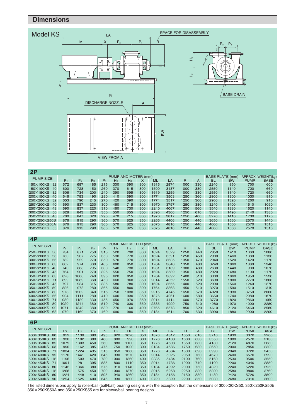# **Dimensions**



| 2P                      |                     |                |       |                |       |                |     |      |      |      |     |           |                                              |             |             |
|-------------------------|---------------------|----------------|-------|----------------|-------|----------------|-----|------|------|------|-----|-----------|----------------------------------------------|-------------|-------------|
| <b>PUMP SIZE</b>        | PUMP AND MOTER (mm) |                |       |                |       |                |     |      |      |      |     |           | <b>BASE PLATE (mm)</b><br>APPROX. WEIGHT(kg) |             |             |
|                         | $P_1$               | P <sub>2</sub> | $P_3$ | P <sub>4</sub> | $H_1$ | H <sub>2</sub> | X   | ML   | LA   | R    | A   | <b>BL</b> | <b>BW</b>                                    | <b>PUMP</b> | <b>BASE</b> |
| 150×100KS<br>32         | 572                 | 687            | 185   | 215            | 300   | 590            | 300 | 1315 | 2874 | 1000 | 330 | 2240      | 950                                          | 700         | 600         |
| $150\times100$ KS<br>40 | 600                 | 728            | 150   | 260            | 370   | 615            | 300 | 1509 | 3137 | 1000 | 330 | 2550      | 1140                                         | 720         | 660         |
| $200\times150K$ S<br>32 | 606                 | 734            | 200   | 240            | 390   | 595            | 300 | 1619 | 3259 | 1000 | 330 | 2550      | 1140                                         | 720         | 660         |
| $200\times150$ KS<br>40 | 646                 | 783            | 190   | 280            | 410   | 690            | 300 | 1774 | 3503 | 1250 | 360 | 2900      | 1300                                         | 1030        | 910         |
| $250\times200KS$<br>32  | 653                 | 790            | 245   | 270            | 420   | 690            | 300 | 1774 | 3517 | 1250 | 360 | 2900      | 1320                                         | 1200        | 910         |
| 250×200KS<br>40         | 690                 | 837            | 230   | 300            | 460   | 715            | 300 | 1970 | 3797 | 1250 | 380 | 3240      | 1400                                         | 1510        | 1090        |
| 250×200KS<br>48         | 690                 | 837            | 220   | 310            | 460   | 730            | 300 | 2240 | 4067 | 1250 | 560 | 3540      | 1380                                         | 1620        | 1140        |
| $300\times200KS$<br>50  | 828                 | 843            | 220   | 350            | 550   | 855            | 300 | 2395 | 4366 | 1250 | 610 | 3830      | 1490                                         | 2140        | 1380        |
| 350×250KS<br>40         | 700                 | 847            | 320   | 290            | 470   | 715            | 300 | 1970 | 3817 | 1250 | 400 | 3270      | 1410                                         | 1730        | 1170        |
| 350×250KS50B            | 876                 | 915            | 290   | 360            | 570   | 825            | 350 | 2265 | 4406 | 1250 | 440 | 3650      | 1560                                         | 2570        | 1440        |
| 350×250KS50A            | 876                 | 915            | 290   | 360            | 570   | 825            | 350 | 2675 | 4816 | 1250 | 440 | 4000      | 1560                                         | 2570        | 1510        |
| 350×250KS<br>55         | 876                 | 915            | 290   | 360            | 570   | 825            | 350 | 2675 | 4816 | 1250 | 440 | 4000      | 1560                                         | 2570        | 1510        |

| 4P                      |                     |                |       |       |       |      |     |           |      |      |     |           |                                              |             |             |
|-------------------------|---------------------|----------------|-------|-------|-------|------|-----|-----------|------|------|-----|-----------|----------------------------------------------|-------------|-------------|
| <b>PUMP SIZE</b>        | PUMP AND MOTER (mm) |                |       |       |       |      |     |           |      |      |     |           | APPROX. WEIGHT(kg)<br><b>BASE PLATE (mm)</b> |             |             |
|                         | $P_1$               | P <sub>2</sub> | $P_3$ | $P_4$ | $H_1$ | H2   | x   | <b>ML</b> | LA   | R    | A   | <b>BL</b> | <b>BW</b>                                    | <b>PUMP</b> | <b>BASE</b> |
| 250×200KS<br>50         | 734                 | 871            | 250   | 315   | 520   | 730  | 300 | 1624      | 3529 | 1250 | 440 | 2850      | 1410                                         | 1060        | 1080        |
| 250×200KS<br>56         | 760                 | 907            | 275   | 350   | 530   | 770  | 300 | 1624      | 3591 | 1250 | 450 | 2900      | 1460                                         | 1380        | 1130        |
| 300×200KS<br>56         | 782                 | 929            | 270   | 350   | 570   | 770  | 300 | 1624      | 3635 | 1350 | 470 | 2940      | 1520                                         | 1420        | 1170        |
| 300×200KS<br>63         | 802                 | 974            | 300   | 405   | 600   | 850  | 300 | 1764      | 3840 | 1350 | 480 | 3240      | 1660                                         | 1880        | 1340        |
| 300×250KS<br>40         | 740                 | 868            | 295   | 300   | 540   | 730  | 300 | 1281      | 3189 | 1300 | 480 | 2630      | 1440                                         | 900         | 1070        |
| 300×250KS<br>45         | 764                 | 901            | 270   | 325   | 550   | 750  | 300 | 1624      | 3589 | 1350 | 480 | 2920      | 1480                                         | 1100        | 1170        |
| 350×250KS<br>63         | 828                 | 1000           | 240   | 395   | 620   | 850  | 300 | 1764      | 3892 | 1400 | 510 | 3300      | 1660                                         | 1950        | 1520        |
| $350\times250K$ S<br>71 | 899                 | 1089           | 360   | 450   | 660   | 960  | 350 | 2014      | 4352 | 1550 | 520 | 3690      | 1800                                         | 2770        | 1800        |
| 350×300KS<br>45         | 797                 | 934            | 315   | 335   | 580   | 780  | 300 | 1624      | 3655 | 1400 | 520 | 2990      | 1560                                         | 1240        | 1270        |
| 350×300KS<br>50         | 826                 | 973            | 280   | 365   | 550   | 800  | 300 | 1764      | 3863 | 1450 | 510 | 3270      | 1590                                         | 1510        | 1310        |
| $400\times250K$ S<br>80 | 978                 | 1202           | 340   | 515   | 750   | 1030 | 350 | 2215      | 4745 | 1650 | 570 | 4020      | 1930                                         | 3750        | 2060        |
| $400\times300K$ S<br>56 | 924                 | 1111           | 280   | 410   | 600   | 930  | 350 | 1876      | 4261 | 1600 | 580 | 3650      | 1740                                         | 2080        | 1870        |
| 400×300KS<br>71         | 930                 | 1120           | 330   | 455   | 650   | 970  | 350 | 2014      | 4414 | 1600 | 570 | 3770      | 1820                                         | 2860        | 1950        |
| $500\times300K$ S<br>80 | 1020                | 1244           | 380   | 510   | 740   | 1030 | 350 | 2385      | 4999 | 1750 | 610 | 4280      | 1970                                         | 4000        | 2280        |
| 500×300KS<br>90         | 1071                | 1342           | 380   | 580   | 770   | 1160 | 400 | 2765      | 5578 | 1850 | 620 | 4610      | 2120                                         | 5460        | 2580        |
| 500×350KS<br>63         | 970                 | 1160           | 370   | 460   | 690   | 990  | 350 | 2134      | 4614 | 1700 | 630 | 3990      | 1880                                         | 2900        | 2200        |

| 6P                       |                     |                |       |                |       |                |     |      |      |                |     |           |                                              |             |             |
|--------------------------|---------------------|----------------|-------|----------------|-------|----------------|-----|------|------|----------------|-----|-----------|----------------------------------------------|-------------|-------------|
| <b>PUMP SIZE</b>         | PUMP AND MOTER (mm) |                |       |                |       |                |     |      |      |                |     |           | <b>BASE PLATE (mm)</b><br>APPROX. WEIGHT(kg) |             |             |
|                          | $P_1$               | P <sub>2</sub> | $P_3$ | P <sub>4</sub> | $H_1$ | H <sub>2</sub> | X   | ML   | LA   | $\overline{R}$ | A   | <b>BL</b> | <b>BW</b>                                    | <b>PUMP</b> | <b>BASE</b> |
| 400×300KS<br>80          | 952                 | 1139           | 380   | 495            | 820   | 1020           | 350 | 1876 | 4317 | 1650           | 610 | 3710      | 1930                                         | 3370        | 2200        |
| $400\times350K$ S<br>63  | 930                 | 1102           | 380   | 460            | 800   | 990            | 300 | 1776 | 4108 | 1600           | 630 | 3550      | 1880                                         | 2570        | 2130        |
| 500×350KS<br>85          | 1079                | 1303           | 450   | 560            | 880   | 1100           | 350 | 1776 | 4508 | 1850           | 680 | 4180      | 2120                                         | 4870        | 2680        |
| 500×400KS<br>63          | 990                 | 1162           | 385   | 475            | 750   | 1020           | 300 | 2134 | 4586 | 1750           | 680 | 3650      | 2000                                         | 2850        | 2320        |
| $500\times400K$ S<br>-71 | 1034                | 1224           | 435   | 515            | 850   | 1060           | 350 | 1776 | 4384 | 1800           | 690 | 3990      | 2040                                         | 3720        | 2450        |
| $600\times400K$<br>95    | 1170                | 1441           | 420   | 645            | 930   | 1270           | 400 | 2014 | 5025 | 2050           | 760 | 4670      | 2400                                         | 6570        | 2990        |
| 600×400KS 112            | 1196                | 1503           | 470   | 730            | 1000  | 1360           | 400 | 2385 | 5484 | 2100           | 760 | 5160      | 2530                                         | 9500        | 3550        |
| $600\times450KS$<br>-71  | 1091                | 1281           | 395   | 535            | 800   | 1110           | 350 | 2014 | 4736 | 1900           | 740 | 4100      | 2200                                         | 4040        | 2850        |
| $600\times450K$<br>-80   | 1142                | 1366           | 380   | 575            | 910   | 1140           | 350 | 2134 | 4992 | 2000           | 750 | 4320      | 2240                                         | 5220        | 2950        |
| 700×450KS 112            | 1268                | 1575           | 450   | 720            | 1000  | 1370           | 400 | 3015 | 6258 | 2250           | 830 | 5300      | 2580                                         | 9800        | 3760        |
| 700×500KS<br>-80         | 1224                | 1448           | 410   | 595            | 940   | 1260           | 350 | 2134 | 5156 | 2150           | 830 | 4480      | 2420                                         | 5720        | 3500        |
| 700×500KS<br>90          | 1254                | 1525           | 400   | 645            | 930   | 1300           | 400 | 2720 | 5899 | 2200           | 850 | 5030      | 2480                                         | 7310        | 3600        |

The listed dimensions apply to roller/ball (ball/ball) bearing designs with the exception that the dimensions of 300 $\times$ 20KS50, 350 $\times$ 250KS50B,  $\times$ 250KS50A and 350 $\times$ 250KS55 are for sleeve/ball bearing designs.